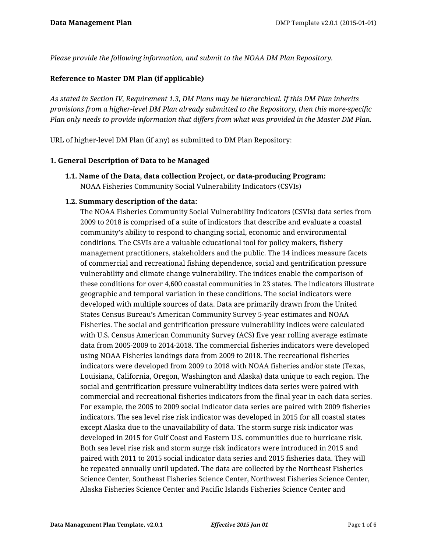*Please provide the following information, and submit to the NOAA DM Plan Repository.*

### **Reference to Master DM Plan (if applicable)**

*As stated in Section IV, Requirement 1.3, DM Plans may be hierarchical. If this DM Plan inherits provisions from a higher-level DM Plan already submitted to the Repository, then this more-specific Plan only needs to provide information that differs from what was provided in the Master DM Plan.*

URL of higher-level DM Plan (if any) as submitted to DM Plan Repository:

### **1. General Description of Data to be Managed**

**1.1. Name of the Data, data collection Project, or data-producing Program:** NOAA Fisheries Community Social Vulnerability Indicators (CSVIs)

### **1.2. Summary description of the data:**

The NOAA Fisheries Community Social Vulnerability Indicators (CSVIs) data series from 2009 to 2018 is comprised of a suite of indicators that describe and evaluate a coastal community's ability to respond to changing social, economic and environmental conditions. The CSVIs are a valuable educational tool for policy makers, fishery management practitioners, stakeholders and the public. The 14 indices measure facets of commercial and recreational fishing dependence, social and gentrification pressure vulnerability and climate change vulnerability. The indices enable the comparison of these conditions for over 4,600 coastal communities in 23 states. The indicators illustrate geographic and temporal variation in these conditions. The social indicators were developed with multiple sources of data. Data are primarily drawn from the United States Census Bureau's American Community Survey 5-year estimates and NOAA Fisheries. The social and gentrification pressure vulnerability indices were calculated with U.S. Census American Community Survey (ACS) five year rolling average estimate data from 2005-2009 to 2014-2018. The commercial fisheries indicators were developed using NOAA Fisheries landings data from 2009 to 2018. The recreational fisheries indicators were developed from 2009 to 2018 with NOAA fisheries and/or state (Texas, Louisiana, California, Oregon, Washington and Alaska) data unique to each region. The social and gentrification pressure vulnerability indices data series were paired with commercial and recreational fisheries indicators from the final year in each data series. For example, the 2005 to 2009 social indicator data series are paired with 2009 fisheries indicators. The sea level rise risk indicator was developed in 2015 for all coastal states except Alaska due to the unavailability of data. The storm surge risk indicator was developed in 2015 for Gulf Coast and Eastern U.S. communities due to hurricane risk. Both sea level rise risk and storm surge risk indicators were introduced in 2015 and paired with 2011 to 2015 social indicator data series and 2015 fisheries data. They will be repeated annually until updated. The data are collected by the Northeast Fisheries Science Center, Southeast Fisheries Science Center, Northwest Fisheries Science Center, Alaska Fisheries Science Center and Pacific Islands Fisheries Science Center and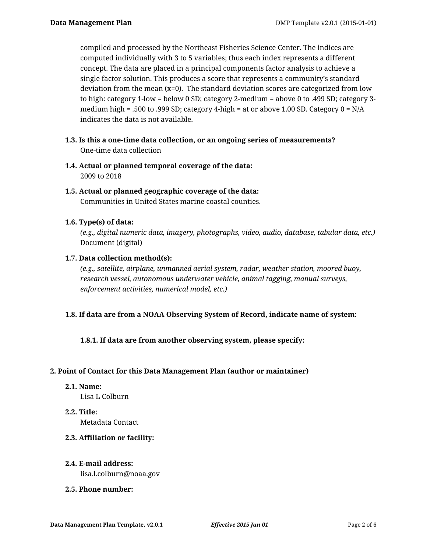compiled and processed by the Northeast Fisheries Science Center. The indices are computed individually with 3 to 5 variables; thus each index represents a different concept. The data are placed in a principal components factor analysis to achieve a single factor solution. This produces a score that represents a community's standard deviation from the mean  $(x=0)$ . The standard deviation scores are categorized from low to high: category 1-low = below 0 SD; category 2-medium = above 0 to .499 SD; category 3 medium high = .500 to .999 SD; category 4-high = at or above 1.00 SD. Category 0 = N/A indicates the data is not available.

- **1.3. Is this a one-time data collection, or an ongoing series of measurements?** One-time data collection
- **1.4. Actual or planned temporal coverage of the data:** 2009 to 2018
- **1.5. Actual or planned geographic coverage of the data:** Communities in United States marine coastal counties.

# **1.6. Type(s) of data:**

*(e.g., digital numeric data, imagery, photographs, video, audio, database, tabular data, etc.)* Document (digital)

# **1.7. Data collection method(s):**

*(e.g., satellite, airplane, unmanned aerial system, radar, weather station, moored buoy, research vessel, autonomous underwater vehicle, animal tagging, manual surveys, enforcement activities, numerical model, etc.)*

# **1.8. If data are from a NOAA Observing System of Record, indicate name of system:**

# **1.8.1. If data are from another observing system, please specify:**

# **2. Point of Contact for this Data Management Plan (author or maintainer)**

#### **2.1. Name:**

Lisa L Colburn

# **2.2. Title:**

Metadata Contact

# **2.3. Affiliation or facility:**

# **2.4. E-mail address:**

lisa.l.colburn@noaa.gov

# **2.5. Phone number:**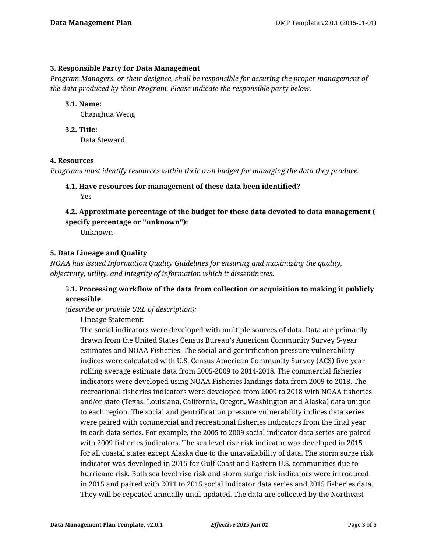### **3. Responsible Party for Data Management**

*Program Managers, or their designee, shall be responsible for assuring the proper management of the data produced by their Program. Please indicate the responsible party below.*

### **3.1. Name:**

Changhua Weng

**3.2. Title:** Data Steward

### **4. Resources**

*Programs must identify resources within their own budget for managing the data they produce.*

# **4.1. Have resources for management of these data been identified?** Yes

# **4.2. Approximate percentage of the budget for these data devoted to data management ( specify percentage or "unknown"):**

Unknown

# **5. Data Lineage and Quality**

*NOAA has issued Information Quality Guidelines for ensuring and maximizing the quality, objectivity, utility, and integrity of information which it disseminates.*

# **5.1. Processing workflow of the data from collection or acquisition to making it publicly accessible**

*(describe or provide URL of description):*

Lineage Statement:

The social indicators were developed with multiple sources of data. Data are primarily drawn from the United States Census Bureau's American Community Survey 5-year estimates and NOAA Fisheries. The social and gentrification pressure vulnerability indices were calculated with U.S. Census American Community Survey (ACS) five year rolling average estimate data from 2005-2009 to 2014-2018. The commercial fisheries indicators were developed using NOAA Fisheries landings data from 2009 to 2018. The recreational fisheries indicators were developed from 2009 to 2018 with NOAA fisheries and/or state (Texas, Louisiana, California, Oregon, Washington and Alaska) data unique to each region. The social and gentrification pressure vulnerability indices data series were paired with commercial and recreational fisheries indicators from the final year in each data series. For example, the 2005 to 2009 social indicator data series are paired with 2009 fisheries indicators. The sea level rise risk indicator was developed in 2015 for all coastal states except Alaska due to the unavailability of data. The storm surge risk indicator was developed in 2015 for Gulf Coast and Eastern U.S. communities due to hurricane risk. Both sea level rise risk and storm surge risk indicators were introduced in 2015 and paired with 2011 to 2015 social indicator data series and 2015 fisheries data. They will be repeated annually until updated. The data are collected by the Northeast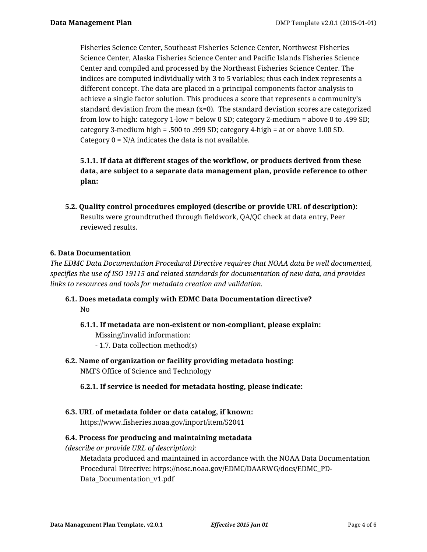Fisheries Science Center, Southeast Fisheries Science Center, Northwest Fisheries Science Center, Alaska Fisheries Science Center and Pacific Islands Fisheries Science Center and compiled and processed by the Northeast Fisheries Science Center. The indices are computed individually with 3 to 5 variables; thus each index represents a different concept. The data are placed in a principal components factor analysis to achieve a single factor solution. This produces a score that represents a community's standard deviation from the mean  $(x=0)$ . The standard deviation scores are categorized from low to high: category 1-low = below 0 SD; category 2-medium = above 0 to .499 SD; category 3-medium high = .500 to .999 SD; category 4-high = at or above 1.00 SD. Category  $0 = N/A$  indicates the data is not available.

**5.1.1. If data at different stages of the workflow, or products derived from these data, are subject to a separate data management plan, provide reference to other plan:**

**5.2. Quality control procedures employed (describe or provide URL of description):** Results were groundtruthed through fieldwork, QA/QC check at data entry, Peer reviewed results.

# **6. Data Documentation**

*The EDMC Data Documentation Procedural Directive requires that NOAA data be well documented, specifies the use of ISO 19115 and related standards for documentation of new data, and provides links to resources and tools for metadata creation and validation.*

- **6.1. Does metadata comply with EDMC Data Documentation directive?** No
	- **6.1.1. If metadata are non-existent or non-compliant, please explain:** Missing/invalid information: - 1.7. Data collection method(s)
- **6.2. Name of organization or facility providing metadata hosting:** NMFS Office of Science and Technology

# **6.2.1. If service is needed for metadata hosting, please indicate:**

**6.3. URL of metadata folder or data catalog, if known:** https://www.fisheries.noaa.gov/inport/item/52041

#### **6.4. Process for producing and maintaining metadata**

*(describe or provide URL of description):*

Metadata produced and maintained in accordance with the NOAA Data Documentation Procedural Directive: https://nosc.noaa.gov/EDMC/DAARWG/docs/EDMC\_PD-Data\_Documentation\_v1.pdf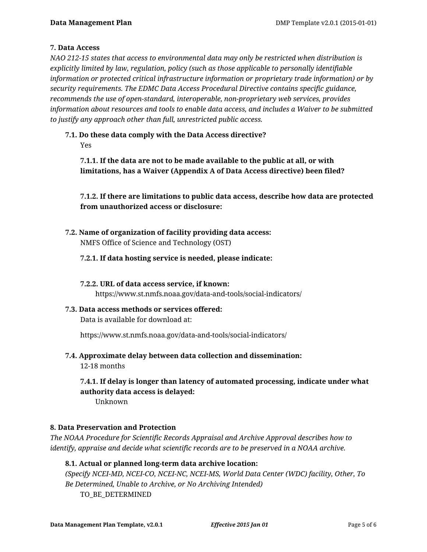# **7. Data Access**

*NAO 212-15 states that access to environmental data may only be restricted when distribution is explicitly limited by law, regulation, policy (such as those applicable to personally identifiable information or protected critical infrastructure information or proprietary trade information) or by security requirements. The EDMC Data Access Procedural Directive contains specific guidance, recommends the use of open-standard, interoperable, non-proprietary web services, provides information about resources and tools to enable data access, and includes a Waiver to be submitted to justify any approach other than full, unrestricted public access.*

### **7.1. Do these data comply with the Data Access directive?** Yes

**7.1.1. If the data are not to be made available to the public at all, or with limitations, has a Waiver (Appendix A of Data Access directive) been filed?**

**7.1.2. If there are limitations to public data access, describe how data are protected from unauthorized access or disclosure:**

**7.2. Name of organization of facility providing data access:** NMFS Office of Science and Technology (OST)

# **7.2.1. If data hosting service is needed, please indicate:**

**7.2.2. URL of data access service, if known:** https://www.st.nmfs.noaa.gov/data-and-tools/social-indicators/

**7.3. Data access methods or services offered:**

Data is available for download at:

https://www.st.nmfs.noaa.gov/data-and-tools/social-indicators/

**7.4. Approximate delay between data collection and dissemination:**

12-18 months

**7.4.1. If delay is longer than latency of automated processing, indicate under what authority data access is delayed:**

Unknown

# **8. Data Preservation and Protection**

*The NOAA Procedure for Scientific Records Appraisal and Archive Approval describes how to identify, appraise and decide what scientific records are to be preserved in a NOAA archive.*

# **8.1. Actual or planned long-term data archive location:**

*(Specify NCEI-MD, NCEI-CO, NCEI-NC, NCEI-MS, World Data Center (WDC) facility, Other, To Be Determined, Unable to Archive, or No Archiving Intended)* TO\_BE\_DETERMINED